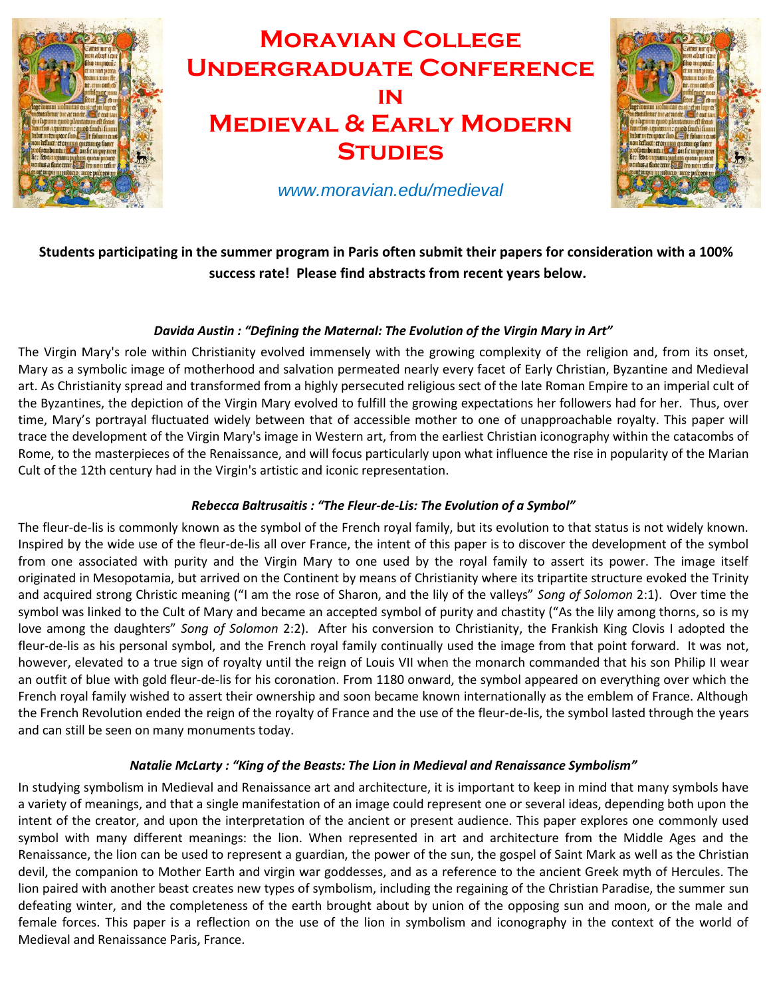

# **Moravian College Undergraduate Conference in Medieval & Early Modern STUDIES**



*www.moravian.edu/medieval*

# **Students participating in the summer program in Paris often submit their papers for consideration with a 100% success rate! Please find abstracts from recent years below.**

# *Davida Austin : "Defining the Maternal: The Evolution of the Virgin Mary in Art"*

The Virgin Mary's role within Christianity evolved immensely with the growing complexity of the religion and, from its onset, Mary as a symbolic image of motherhood and salvation permeated nearly every facet of Early Christian, Byzantine and Medieval art. As Christianity spread and transformed from a highly persecuted religious sect of the late Roman Empire to an imperial cult of the Byzantines, the depiction of the Virgin Mary evolved to fulfill the growing expectations her followers had for her. Thus, over time, Mary's portrayal fluctuated widely between that of accessible mother to one of unapproachable royalty. This paper will trace the development of the Virgin Mary's image in Western art, from the earliest Christian iconography within the catacombs of Rome, to the masterpieces of the Renaissance, and will focus particularly upon what influence the rise in popularity of the Marian Cult of the 12th century had in the Virgin's artistic and iconic representation.

# *Rebecca Baltrusaitis : "The Fleur-de-Lis: The Evolution of a Symbol"*

The fleur-de-lis is commonly known as the symbol of the French royal family, but its evolution to that status is not widely known. Inspired by the wide use of the fleur-de-lis all over France, the intent of this paper is to discover the development of the symbol from one associated with purity and the Virgin Mary to one used by the royal family to assert its power. The image itself originated in Mesopotamia, but arrived on the Continent by means of Christianity where its tripartite structure evoked the Trinity and acquired strong Christic meaning ("I am the rose of Sharon, and the lily of the valleys" *Song of Solomon* 2:1). Over time the symbol was linked to the Cult of Mary and became an accepted symbol of purity and chastity ("As the lily among thorns, so is my love among the daughters" *Song of Solomon* 2:2). After his conversion to Christianity, the Frankish King Clovis I adopted the fleur-de-lis as his personal symbol, and the French royal family continually used the image from that point forward. It was not, however, elevated to a true sign of royalty until the reign of Louis VII when the monarch commanded that his son Philip II wear an outfit of blue with gold fleur-de-lis for his coronation. From 1180 onward, the symbol appeared on everything over which the French royal family wished to assert their ownership and soon became known internationally as the emblem of France. Although the French Revolution ended the reign of the royalty of France and the use of the fleur-de-lis, the symbol lasted through the years and can still be seen on many monuments today.

# *Natalie McLarty : "King of the Beasts: The Lion in Medieval and Renaissance Symbolism"*

In studying symbolism in Medieval and Renaissance art and architecture, it is important to keep in mind that many symbols have a variety of meanings, and that a single manifestation of an image could represent one or several ideas, depending both upon the intent of the creator, and upon the interpretation of the ancient or present audience. This paper explores one commonly used symbol with many different meanings: the lion. When represented in art and architecture from the Middle Ages and the Renaissance, the lion can be used to represent a guardian, the power of the sun, the gospel of Saint Mark as well as the Christian devil, the companion to Mother Earth and virgin war goddesses, and as a reference to the ancient Greek myth of Hercules. The lion paired with another beast creates new types of symbolism, including the regaining of the Christian Paradise, the summer sun defeating winter, and the completeness of the earth brought about by union of the opposing sun and moon, or the male and female forces. This paper is a reflection on the use of the lion in symbolism and iconography in the context of the world of Medieval and Renaissance Paris, France.